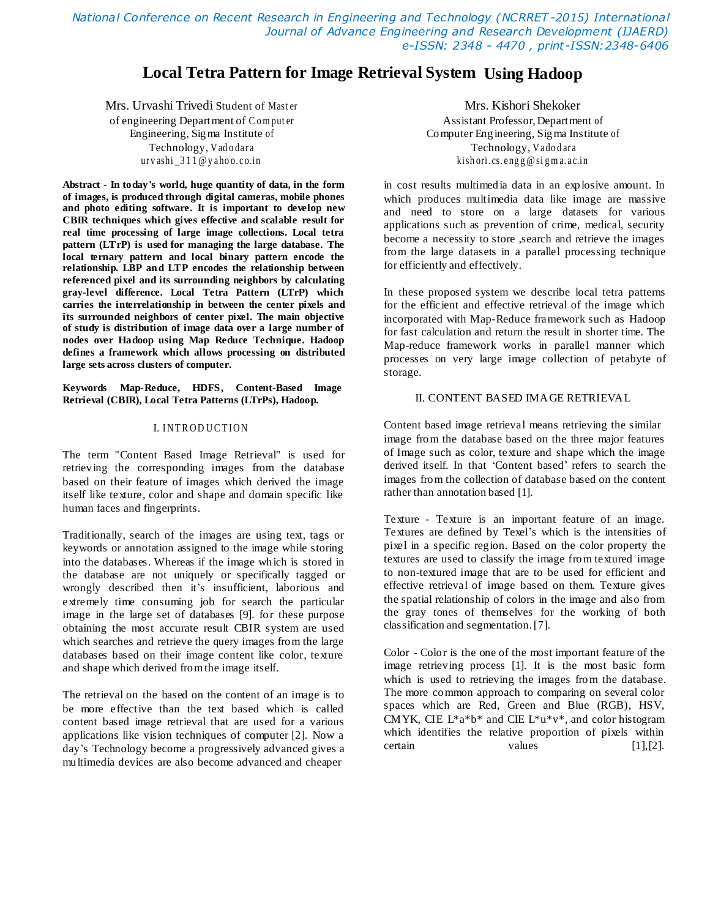*National Conference on Recent Research in Engineering and Technology (NCRRET -2015) International Journal of Advance Engineering and Research Development (IJAERD) e-ISSN: 2348 - 4470 , print-ISSN:2348-6406*

# **Local Tetra Pattern for Image Retrieval System Using Hadoop**

Mrs. Urvashi Trivedi Student of Mast er of engineering Department of C o m put er Engineering, Sigma Institute of Technology, V[a](mailto:urvashi_311@yahoo.co.in)dodara ur v ashi [\\_3 1 1 @y](mailto:urvashi_311@yahoo.co.in) a ho o. c [o.in](mailto:urvashi_311@yahoo.co.in)

**Abstract - In today's world, huge quantity of data, in the form of images, is produced through digital cameras, mobile phones and photo editing software. It is important to develop new CBIR techniques which gives effective and scalable result for real time processing of large image collections. Local tetra pattern (LTrP) is used for managing the large database. The local ternary pattern and local binary pattern encode the relationship. LBP and LTP encodes the relationship between referenced pixel and its surrounding neighbors by calculating gray-level difference. Local Tetra Pattern (LTrP) which carries the interrelationship in between the center pixels and its surrounded neighbors of center pixel. The main objective of study is distribution of image data over a large number of nodes over Hadoop using Map Reduce Technique. Hadoop defines a framework which allows processing on distributed large sets across clusters of computer.**

**Keywords Map-Reduce, HDFS, Content-Based Image Retrieval (CBIR), Local Tetra Patterns (LTrPs), Hadoop.**

## I. INTRODUCTION

The term "Content Based Image Retrieval" is used for retrieving the corresponding images from the database based on their feature of images which derived the image itself like texture, color and shape and domain specific like human faces and fingerprints.

Traditionally, search of the images are using text, tags or keywords or annotation assigned to the image while storing into the databases. Whereas if the image which is stored in the database are not uniquely or specifically tagged or wrongly described then it's insufficient, laborious and extremely time consuming job for search the particular image in the large set of databases [9]. for these purpose obtaining the most accurate result CBIR system are used which searches and retrieve the query images from the large databases based on their image content like color, texture and shape which derived fromthe image itself.

The retrieval on the based on the content of an image is to be more effective than the text based which is called content based image retrieval that are used for a various applications like vision techniques of computer [2]. Now a day"s Technology become a progressively advanced gives a multimedia devices are also become advanced and cheaper

Mrs. Kishori Shekoker Assistant Professor,Department of Computer Engineering, Sigma Institute of Technology, V[a](mailto:kishori.cs.engg@sigma.ac.in)dodara kish ori. [cs. e](mailto:kishori.cs.engg@sigma.ac.in) ng g @si g m a. a c.[in](mailto:kishori.cs.engg@sigma.ac.in)

in cost results multimedia data in an explosive amount. In which produces multimedia data like image are massive and need to store on a large datasets for various applications such as prevention of crime, medical, security become a necessity to store ,search and retrieve the images from the large datasets in a parallel processing technique for efficiently and effectively.

In these proposed system we describe local tetra patterns for the efficient and effective retrieval of the image which incorporated with Map-Reduce framework such as Hadoop for fast calculation and return the result in shorter time. The Map-reduce framework works in parallel manner which processes on very large image collection of petabyte of storage.

#### II. CONTENT BASED IMAGE RETRIEVAL

Content based image retrieval means retrieving the similar image from the database based on the three major features of Image such as color, texture and shape which the image derived itself. In that 'Content based' refers to search the images from the collection of database based on the content rather than annotation based [1].

Texture - Texture is an important feature of an image. Textures are defined by Texel"s which is the intensities of pixel in a specific region. Based on the color property the textures are used to classify the image from textured image to non-textured image that are to be used for efficient and effective retrieval of image based on them. Texture gives the spatial relationship of colors in the image and also from the gray tones of themselves for the working of both classification and segmentation.[7].

Color - Color is the one of the most important feature of the image retrieving process [1]. It is the most basic form which is used to retrieving the images from the database. The more common approach to comparing on several color spaces which are Red, Green and Blue (RGB), HSV, CMYK, CIE  $L^*a^*b^*$  and CIE  $L^*u^*v^*$ , and color histogram which identifies the relative proportion of pixels within certain values [1], [2].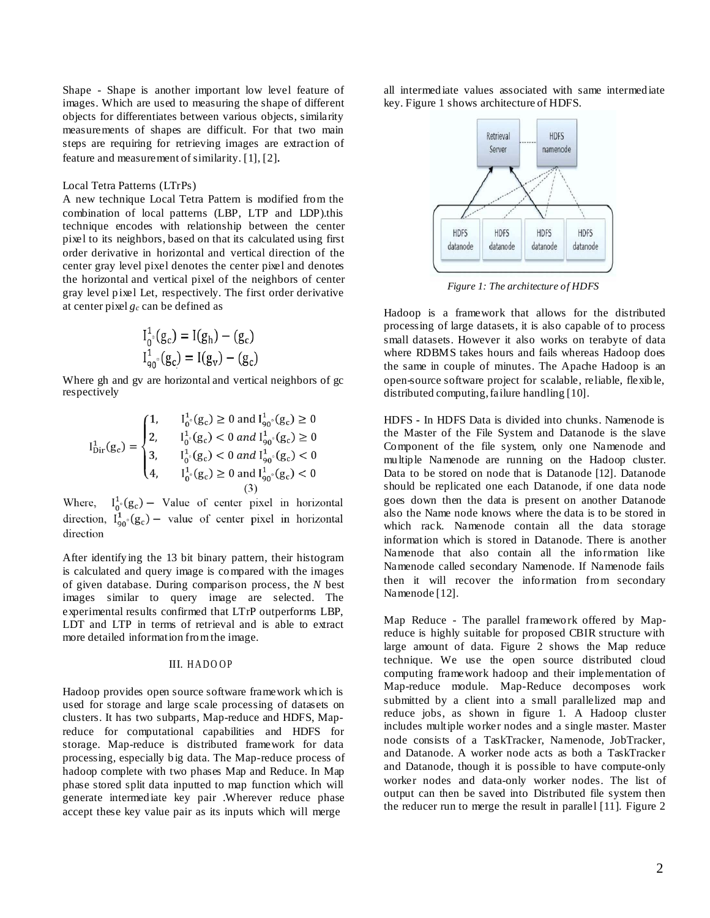Shape - Shape is another important low level feature of images. Which are used to measuring the shape of different objects for differentiates between various objects, similarity measurements of shapes are difficult. For that two main steps are requiring for retrieving images are extraction of feature and measurement of similarity. [1], [2].

#### Local Tetra Patterns (LTrPs)

A new technique Local Tetra Pattern is modified from the combination of local patterns (LBP, LTP and LDP).this technique encodes with relationship between the center pixel to its neighbors, based on that its calculated using first order derivative in horizontal and vertical direction of the center gray level pixel denotes the center pixel and denotes the horizontal and vertical pixel of the neighbors of center gray level pixel Let, respectively. The first order derivative at center pixel *g<sup>c</sup>* can be defined as

$$
I_{0}^{1} (g_{c}) = I(g_{h}) - (g_{c})
$$
  

$$
I_{90}^{1} (g_{c}) = I(g_{v}) - (g_{c})
$$

Where gh and gv are horizontal and vertical neighbors of gc respectively

$$
I_{\text{Dir}}^{1}(g_{c}) = \begin{cases} 1, & I_{0}^{1} \circ (g_{c}) \ge 0 \text{ and } I_{90}^{1} \circ (g_{c}) \ge 0 \\ 2, & I_{0}^{1} \circ (g_{c}) < 0 \text{ and } I_{90}^{1} \circ (g_{c}) \ge 0 \\ 3, & I_{0}^{1} \circ (g_{c}) < 0 \text{ and } I_{90}^{1} \circ (g_{c}) < 0 \\ 4, & I_{0}^{1} \circ (g_{c}) \ge 0 \text{ and } I_{90}^{1} \circ (g_{c}) < 0 \end{cases}
$$

Where,  $I_0^1 \circ (g_c)$  – Value of center pixel in horizontal<br>direction,  $I_{90}^1 \circ (g_c)$  – value of center pixel in horizontal direction

After identifying the 13 bit binary pattern, their histogram is calculated and query image is compared with the images of given database. During comparison process, the *N* best images similar to query image are selected. The experimental results confirmed that LTrP outperforms LBP, LDT and LTP in terms of retrieval and is able to extract more detailed information fromthe image.

### III. HADOOP

Hadoop provides open source software framework which is used for storage and large scale processing of datasets on clusters. It has two subparts, Map-reduce and HDFS, Mapreduce for computational capabilities and HDFS for storage. Map-reduce is distributed framework for data processing, especially big data. The Map-reduce process of hadoop complete with two phases Map and Reduce. In Map phase stored split data inputted to map function which will generate intermediate key pair .Wherever reduce phase accept these key value pair as its inputs which will merge

all intermediate values associated with same intermediate key. Figure 1 shows architecture of HDFS.



*Figure 1: The architecture of HDFS*

Hadoop is a framework that allows for the distributed processing of large datasets, it is also capable of to process small datasets. However it also works on terabyte of data where RDBMS takes hours and fails whereas Hadoop does the same in couple of minutes. The Apache Hadoop is an open-source software project for scalable, reliable, flexible, distributed computing,failure handling [10].

HDFS **-** In HDFS Data is divided into chunks. Namenode is the Master of the File System and Datanode is the slave Component of the file system, only one Namenode and multiple Namenode are running on the Hadoop cluster. Data to be stored on node that is Datanode [12]. Datanode should be replicated one each Datanode, if one data node goes down then the data is present on another Datanode also the Name node knows where the data is to be stored in which rack. Namenode contain all the data storage information which is stored in Datanode. There is another Namenode that also contain all the information like Namenode called secondary Namenode. If Namenode fails then it will recover the information from secondary Namenode [12].

Map Reduce - The parallel framework offered by Mapreduce is highly suitable for proposed CBIR structure with large amount of data. Figure 2 shows the Map reduce technique. We use the open source distributed cloud computing framework hadoop and their implementation of Map-reduce module. Map-Reduce decomposes work submitted by a client into a small parallelized map and reduce jobs, as shown in figure 1. A Hadoop cluster includes multiple worker nodes and a single master. Master node consists of a TaskTracker, Namenode, JobTracker, and Datanode. A worker node acts as both a TaskTracker and Datanode, though it is possible to have compute-only worker nodes and data-only worker nodes. The list of output can then be saved into Distributed file system then the reducer run to merge the result in parallel [11]. Figure 2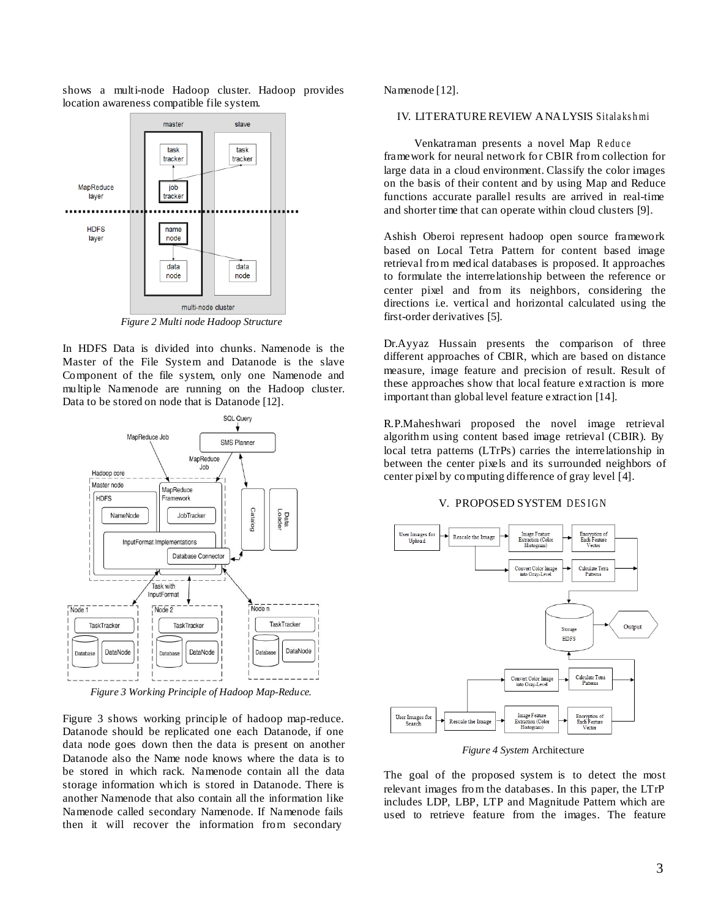

shows a multi-node Hadoop cluster. Hadoop provides location awareness compatible file system.

*Figure 2 Multi node Hadoop Structure*

In HDFS Data is divided into chunks. Namenode is the Master of the File System and Datanode is the slave Component of the file system, only one Namenode and multiple Namenode are running on the Hadoop cluster. Data to be stored on node that is Datanode [12].



*Figure 3 Working Principle of Hadoop Map-Reduce.*

Figure 3 shows working principle of hadoop map-reduce. Datanode should be replicated one each Datanode, if one data node goes down then the data is present on another Datanode also the Name node knows where the data is to be stored in which rack. Namenode contain all the data storage information which is stored in Datanode. There is another Namenode that also contain all the information like Namenode called secondary Namenode. If Namenode fails then it will recover the information from secondary

Namenode [12].

## IV. LITERATURE REVIEW ANALYSIS Sitalakshmi

Venkatraman presents a novel Map Reduce framework for neural network for CBIR from collection for large data in a cloud environment. Classify the color images on the basis of their content and by using Map and Reduce functions accurate parallel results are arrived in real-time and shorter time that can operate within cloud clusters [9].

Ashish Oberoi represent hadoop open source framework based on Local Tetra Pattern for content based image retrieval from medical databases is proposed. It approaches to formulate the interrelationship between the reference or center pixel and from its neighbors, considering the directions i.e. vertical and horizontal calculated using the first-order derivatives [5].

Dr.Ayyaz Hussain presents the comparison of three different approaches of CBIR, which are based on distance measure, image feature and precision of result. Result of these approaches show that local feature extraction is more important than global level feature extraction [14].

R.P.Maheshwari proposed the novel image retrieval algorithm using content based image retrieval (CBIR). By local tetra patterns (LTrPs) carries the interrelationship in between the center pixels and its surrounded neighbors of center pixel by computing difference of gray level [4].

# V. PROPOSED SYSTEM DESIGN



*Figure 4 System* Architecture

The goal of the proposed system is to detect the most relevant images from the databases. In this paper, the LTrP includes LDP, LBP, LTP and Magnitude Pattern which are used to retrieve feature from the images. The feature